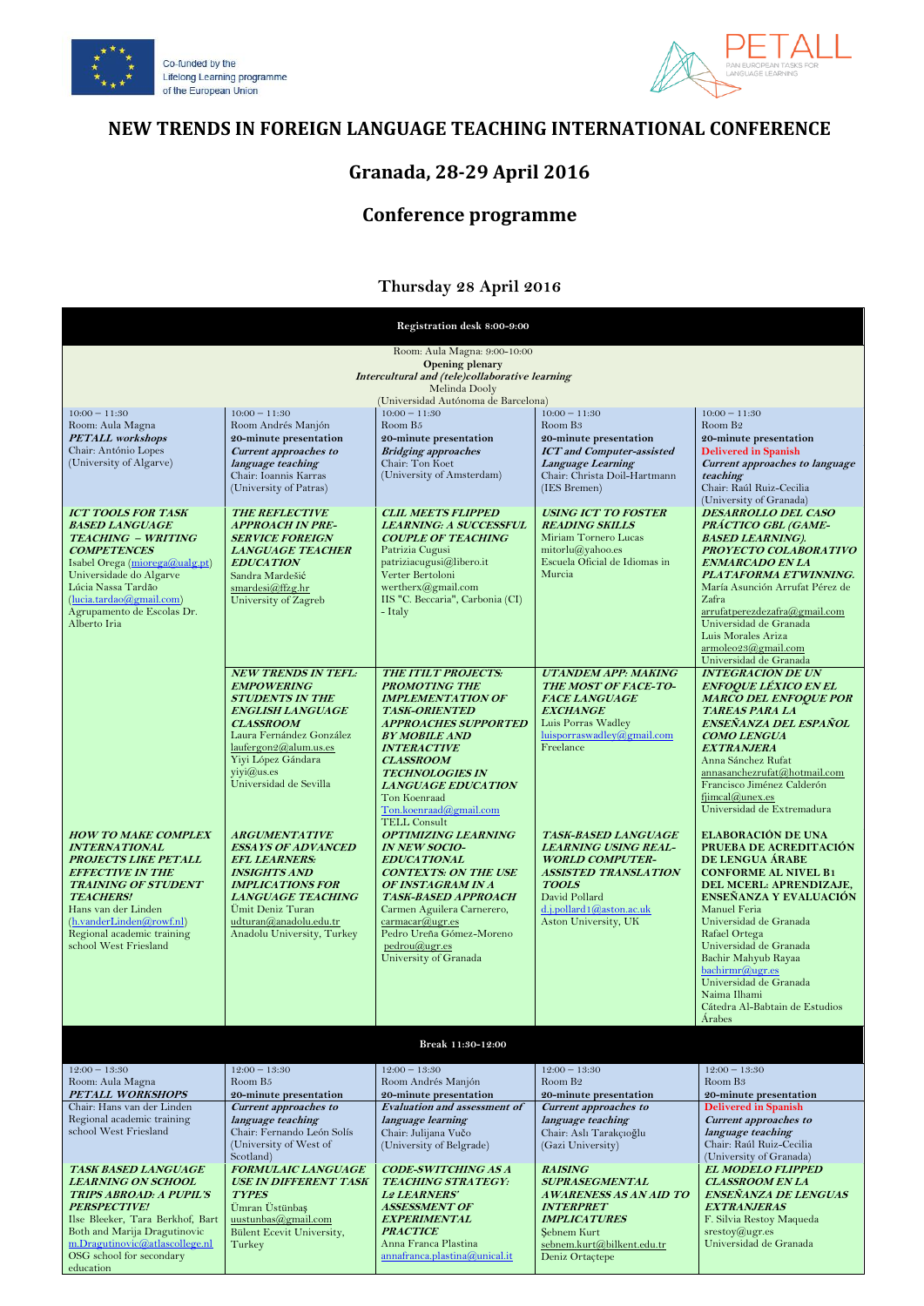



### **NEW TRENDS IN FOREIGN LANGUAGE TEACHING INTERNATIONAL CONFERENCE**

## **Granada, 28-29 April 2016**

# **Conference programme**

### **Thursday 28 April 2016**

| Registration desk 8:00-9:00                                                                                                                                                                                                                                                                                                                                                                                                                                    |                                                                                                                                                                                                                                                                                                                                                                                                                                                                                       |                                                                                                                                                                                                                                                                                                                                                                                                                                                                                                                                                                                                                |                                                                                                                                                                                                                                                                                                                                                                                     |                                                                                                                                                                                                                                                                                                                                                                                                                                                                                                                                                                                                                                                                                                                    |  |
|----------------------------------------------------------------------------------------------------------------------------------------------------------------------------------------------------------------------------------------------------------------------------------------------------------------------------------------------------------------------------------------------------------------------------------------------------------------|---------------------------------------------------------------------------------------------------------------------------------------------------------------------------------------------------------------------------------------------------------------------------------------------------------------------------------------------------------------------------------------------------------------------------------------------------------------------------------------|----------------------------------------------------------------------------------------------------------------------------------------------------------------------------------------------------------------------------------------------------------------------------------------------------------------------------------------------------------------------------------------------------------------------------------------------------------------------------------------------------------------------------------------------------------------------------------------------------------------|-------------------------------------------------------------------------------------------------------------------------------------------------------------------------------------------------------------------------------------------------------------------------------------------------------------------------------------------------------------------------------------|--------------------------------------------------------------------------------------------------------------------------------------------------------------------------------------------------------------------------------------------------------------------------------------------------------------------------------------------------------------------------------------------------------------------------------------------------------------------------------------------------------------------------------------------------------------------------------------------------------------------------------------------------------------------------------------------------------------------|--|
| Room: Aula Magna: 9:00-10:00<br><b>Opening plenary</b><br>Intercultural and (tele)collaborative learning<br>Melinda Dooly                                                                                                                                                                                                                                                                                                                                      |                                                                                                                                                                                                                                                                                                                                                                                                                                                                                       |                                                                                                                                                                                                                                                                                                                                                                                                                                                                                                                                                                                                                |                                                                                                                                                                                                                                                                                                                                                                                     |                                                                                                                                                                                                                                                                                                                                                                                                                                                                                                                                                                                                                                                                                                                    |  |
|                                                                                                                                                                                                                                                                                                                                                                                                                                                                |                                                                                                                                                                                                                                                                                                                                                                                                                                                                                       | (Universidad Autónoma de Barcelona)                                                                                                                                                                                                                                                                                                                                                                                                                                                                                                                                                                            |                                                                                                                                                                                                                                                                                                                                                                                     |                                                                                                                                                                                                                                                                                                                                                                                                                                                                                                                                                                                                                                                                                                                    |  |
| $10:00 - 11:30$<br>Room: Aula Magna                                                                                                                                                                                                                                                                                                                                                                                                                            | $10:00 - 11:30$<br>Room Andrés Manjón                                                                                                                                                                                                                                                                                                                                                                                                                                                 | $10:00 - 11:30$<br>Room B <sub>5</sub>                                                                                                                                                                                                                                                                                                                                                                                                                                                                                                                                                                         | $10:00 - 11:30$<br>Room B <sub>3</sub>                                                                                                                                                                                                                                                                                                                                              | $10:00 - 11:30$<br>Room B <sub>2</sub>                                                                                                                                                                                                                                                                                                                                                                                                                                                                                                                                                                                                                                                                             |  |
| <b>PETALL</b> workshops                                                                                                                                                                                                                                                                                                                                                                                                                                        | 20-minute presentation                                                                                                                                                                                                                                                                                                                                                                                                                                                                | 20-minute presentation                                                                                                                                                                                                                                                                                                                                                                                                                                                                                                                                                                                         | 20-minute presentation                                                                                                                                                                                                                                                                                                                                                              | 20-minute presentation                                                                                                                                                                                                                                                                                                                                                                                                                                                                                                                                                                                                                                                                                             |  |
| Chair: António Lopes                                                                                                                                                                                                                                                                                                                                                                                                                                           | <b>Current approaches to</b>                                                                                                                                                                                                                                                                                                                                                                                                                                                          | <b>Bridging approaches</b>                                                                                                                                                                                                                                                                                                                                                                                                                                                                                                                                                                                     | <b>ICT</b> and Computer-assisted                                                                                                                                                                                                                                                                                                                                                    | <b>Delivered in Spanish</b>                                                                                                                                                                                                                                                                                                                                                                                                                                                                                                                                                                                                                                                                                        |  |
| (University of Algarve)                                                                                                                                                                                                                                                                                                                                                                                                                                        | language teaching<br>Chair: Ioannis Karras<br>(University of Patras)                                                                                                                                                                                                                                                                                                                                                                                                                  | Chair: Ton Koet<br>(University of Amsterdam)                                                                                                                                                                                                                                                                                                                                                                                                                                                                                                                                                                   | Language Learning<br>Chair: Christa Doil-Hartmann<br>(IES Bremen)                                                                                                                                                                                                                                                                                                                   | <b>Current approaches to language</b><br>teaching<br>Chair: Raúl Ruiz-Cecilia<br>(University of Granada)                                                                                                                                                                                                                                                                                                                                                                                                                                                                                                                                                                                                           |  |
| <b>ICT TOOLS FOR TASK</b><br><b>THE REFLECTIVE</b><br><b>BASED LANGUAGE</b><br><b>APPROACH IN PRE-</b><br><b>TEACHING - WRITING</b><br><b>SERVICE FOREIGN</b><br><b>COMPETENCES</b><br><b>LANGUAGE TEACHER</b><br>Isabel Orega (miorega@ualg.pt)<br><b>EDUCATION</b><br>Universidade do Algarve<br>Sandra Mardešić<br>Lúcia Nassa Tardão<br>smardesi@ffzg.hr<br>(lucia.tardao@gmail.com)<br>University of Zagreb<br>Agrupamento de Escolas Dr.<br>Alberto Iria |                                                                                                                                                                                                                                                                                                                                                                                                                                                                                       | <b>CLIL MEETS FLIPPED</b><br><b>LEARNING: A SUCCESSFUL</b><br><b>COUPLE OF TEACHING</b><br>Patrizia Cugusi<br>patriziacugusi@libero.it<br>Verter Bertoloni<br>wertherx@gmail.com<br>IIS "C. Beccaria", Carbonia (CI)<br>- Italy                                                                                                                                                                                                                                                                                                                                                                                | <b>USING ICT TO FOSTER</b><br><b>READING SKILLS</b><br>Miriam Tornero Lucas<br>mitorlu@yahoo.es<br>Escuela Oficial de Idiomas in<br>Murcia                                                                                                                                                                                                                                          | DESARROLLO DEL CASO<br>PRÁCTICO GBL (GAME-<br><b>BASED LEARNING).</b><br>PROYECTO COLABORATIVO<br><b>ENMARCADO EN LA</b><br>PLATAFORMA ETWINNING.<br>María Asunción Arrufat Pérez de<br>Zafra<br>arrufatperezdezafra@gmail.com<br>Universidad de Granada<br>Luis Morales Ariza<br>armoleo23@gmail.com<br>Universidad de Granada                                                                                                                                                                                                                                                                                                                                                                                    |  |
| <b>HOW TO MAKE COMPLEX</b><br><b>INTERNATIONAL</b><br><b>PROJECTS LIKE PETALL</b><br><b>EFFECTIVE IN THE</b><br><b>TRAINING OF STUDENT</b><br><b>TEACHERS!</b><br>Hans van der Linden<br>(h.vanderLinden@rowf.nl)<br>Regional academic training<br>school West Friesland                                                                                                                                                                                       | <b>NEW TRENDS IN TEFL:</b><br><b>EMPOWERING</b><br><b>STUDENTS IN THE</b><br><b>ENGLISH LANGUAGE</b><br><b>CLASSROOM</b><br>Laura Fernández González<br>laufergon2@alum.us.es<br>Yiyi López Gándara<br>$vivi@$ us.es<br>Universidad de Sevilla<br><b>ARGUMENTATIVE</b><br><b>ESSAYS OF ADVANCED</b><br><b>EFL LEARNERS:</b><br><b>INSIGHTS AND</b><br><b>IMPLICATIONS FOR</b><br><b>LANGUAGE TEACHING</b><br>Ümit Deniz Turan<br>udturan@anadolu.edu.tr<br>Anadolu University, Turkey | THE ITILT PROJECTS:<br><b>PROMOTING THE</b><br><b>IMPLEMENTATION OF</b><br><b>TASK-ORIENTED</b><br><b>APPROACHES SUPPORTED</b><br><b>BY MOBILE AND</b><br><b>INTERACTIVE</b><br><b>CLASSROOM</b><br><b>TECHNOLOGIES IN</b><br><b>LANGUAGE EDUCATION</b><br>Ton Koenraad<br>Ton.koenraad@gmail.com<br><b>TELL Consult</b><br><b>OPTIMIZING LEARNING</b><br><b>IN NEW SOCIO-</b><br><b>EDUCATIONAL</b><br><b>CONTEXTS: ON THE USE</b><br>OF INSTAGRAM IN A<br><b>TASK-BASED APPROACH</b><br>Carmen Aguilera Carnerero,<br>carrmacar@ugr.es<br>Pedro Ureña Gómez-Moreno<br>pedrou@ugr.es<br>University of Granada | <b>UTANDEM APP: MAKING</b><br><b>THE MOST OF FACE-TO-</b><br><b>FACE LANGUAGE</b><br><b>EXCHANGE</b><br>Luis Porras Wadley<br>luisporraswadley@gmail.com<br>Freelance<br><b>TASK-BASED LANGUAGE</b><br><b>LEARNING USING REAL-</b><br><b>WORLD COMPUTER-</b><br><b>ASSISTED TRANSLATION</b><br><b>TOOLS</b><br>David Pollard<br>$d.$ j.pollard1@aston.ac.uk<br>Aston University, UK | <b>INTEGRACIÓN DE UN</b><br><b>ENFOQUE LÉXICO EN EL</b><br><b>MARCO DEL ENFOQUE POR</b><br><b>TAREAS PARA LA</b><br>ENSEÑANZA DEL ESPAÑOL<br><b>COMO LENGUA</b><br><b>EXTRANJERA</b><br>Anna Sánchez Rufat<br>annasanchezrufat@hotmail.com<br>Francisco Jiménez Calderón<br>$f$ imcal $@$ unex.es<br>Universidad de Extremadura<br>ELABORACIÓN DE UNA<br>PRUEBA DE ACREDITACIÓN<br>DE LENGUA ÁRABE<br><b>CONFORME AL NIVEL B1</b><br>DEL MCERL: APRENDIZAJE,<br>ENSEÑANZA Y EVALUACIÓN<br>Manuel Feria<br>Universidad de Granada<br>Rafael Ortega<br>Universidad de Granada<br>Bachir Mahyub Rayaa<br>bachirmr@ugr.es<br>Universidad de Granada<br>Naima Ilhami<br>Cátedra Al-Babtain de Estudios<br><b>Árabes</b> |  |
| Break 11:30-12:00                                                                                                                                                                                                                                                                                                                                                                                                                                              |                                                                                                                                                                                                                                                                                                                                                                                                                                                                                       |                                                                                                                                                                                                                                                                                                                                                                                                                                                                                                                                                                                                                |                                                                                                                                                                                                                                                                                                                                                                                     |                                                                                                                                                                                                                                                                                                                                                                                                                                                                                                                                                                                                                                                                                                                    |  |
| $12:00 - 13:30$                                                                                                                                                                                                                                                                                                                                                                                                                                                | $12:00 - 13:30$                                                                                                                                                                                                                                                                                                                                                                                                                                                                       | $12:00 - 13:30$                                                                                                                                                                                                                                                                                                                                                                                                                                                                                                                                                                                                | $12:00 - 13:30$                                                                                                                                                                                                                                                                                                                                                                     | $12:00 - 13:30$                                                                                                                                                                                                                                                                                                                                                                                                                                                                                                                                                                                                                                                                                                    |  |
| Room: Aula Magna                                                                                                                                                                                                                                                                                                                                                                                                                                               | Room B5                                                                                                                                                                                                                                                                                                                                                                                                                                                                               | Room Andrés Manjón                                                                                                                                                                                                                                                                                                                                                                                                                                                                                                                                                                                             | Room B <sub>2</sub>                                                                                                                                                                                                                                                                                                                                                                 | Room B <sub>3</sub>                                                                                                                                                                                                                                                                                                                                                                                                                                                                                                                                                                                                                                                                                                |  |
| PETALL WORKSHOPS                                                                                                                                                                                                                                                                                                                                                                                                                                               | 20-minute presentation                                                                                                                                                                                                                                                                                                                                                                                                                                                                | 20-minute presentation                                                                                                                                                                                                                                                                                                                                                                                                                                                                                                                                                                                         | 20-minute presentation                                                                                                                                                                                                                                                                                                                                                              | 20-minute presentation                                                                                                                                                                                                                                                                                                                                                                                                                                                                                                                                                                                                                                                                                             |  |
| Chair: Hans van der Linden<br>Regional academic training<br>school West Friesland                                                                                                                                                                                                                                                                                                                                                                              | <b>Current approaches to</b><br>language teaching<br>Chair: Fernando León Solís<br>(University of West of<br>Scotland)                                                                                                                                                                                                                                                                                                                                                                | <b>Evaluation and assessment of</b><br>language learning<br>Chair: Julijana Vučo<br>(University of Belgrade)                                                                                                                                                                                                                                                                                                                                                                                                                                                                                                   | <b>Current approaches to</b><br>language teaching<br>Chair: Aslı Tarakçıoğlu<br>(Gazi University)                                                                                                                                                                                                                                                                                   | <b>Delivered in Spanish</b><br><b>Current approaches to</b><br>language teaching<br>Chair: Raúl Ruiz-Cecilia<br>(University of Granada)                                                                                                                                                                                                                                                                                                                                                                                                                                                                                                                                                                            |  |
| <b>TASK BASED LANGUAGE</b><br><b>LEARNING ON SCHOOL</b><br><b>TRIPS ABROAD: A PUPIL'S</b><br><b>PERSPECTIVE!</b><br>Ilse Bleeker, Tara Berkhof, Bart<br>Both and Marija Dragutinovic<br>m.Dragutinovic@atlascollege.nl<br>OSG school for secondary<br>education                                                                                                                                                                                                | <b>FORMULAIC LANGUAGE</b><br><b>USE IN DIFFERENT TASK</b><br><b>TYPES</b><br>Ümran Üstünbaş<br>$u$ ustunbas@gmail.com<br>Bülent Ecevit University,<br>Turkey                                                                                                                                                                                                                                                                                                                          | <b>CODE-SWITCHING AS A</b><br><b>TEACHING STRATEGY:</b><br><b>L2 LEARNERS'</b><br><b>ASSESSMENT OF</b><br><b>EXPERIMENTAL</b><br><b>PRACTICE</b><br>Anna Franca Plastina<br>annafranca.plastina@unical.it                                                                                                                                                                                                                                                                                                                                                                                                      | <b>RAISING</b><br><b>SUPRASEGMENTAL</b><br>A WARENESS AS AN AID TO<br><b>INTERPRET</b><br><b>IMPLICATURES</b><br>Şebnem Kurt<br>sebnem.kurt@bilkent.edu.tr<br>Deniz Ortaçtepe                                                                                                                                                                                                       | <b>EL MODELO FLIPPED</b><br><b>CLASSROOM EN LA</b><br>ENSEÑANZA DE LENGUAS<br><b>EXTRANJERAS</b><br>F. Silvia Restoy Maqueda<br>$srestoy(\hat{a}) ugr. es$<br>Universidad de Granada                                                                                                                                                                                                                                                                                                                                                                                                                                                                                                                               |  |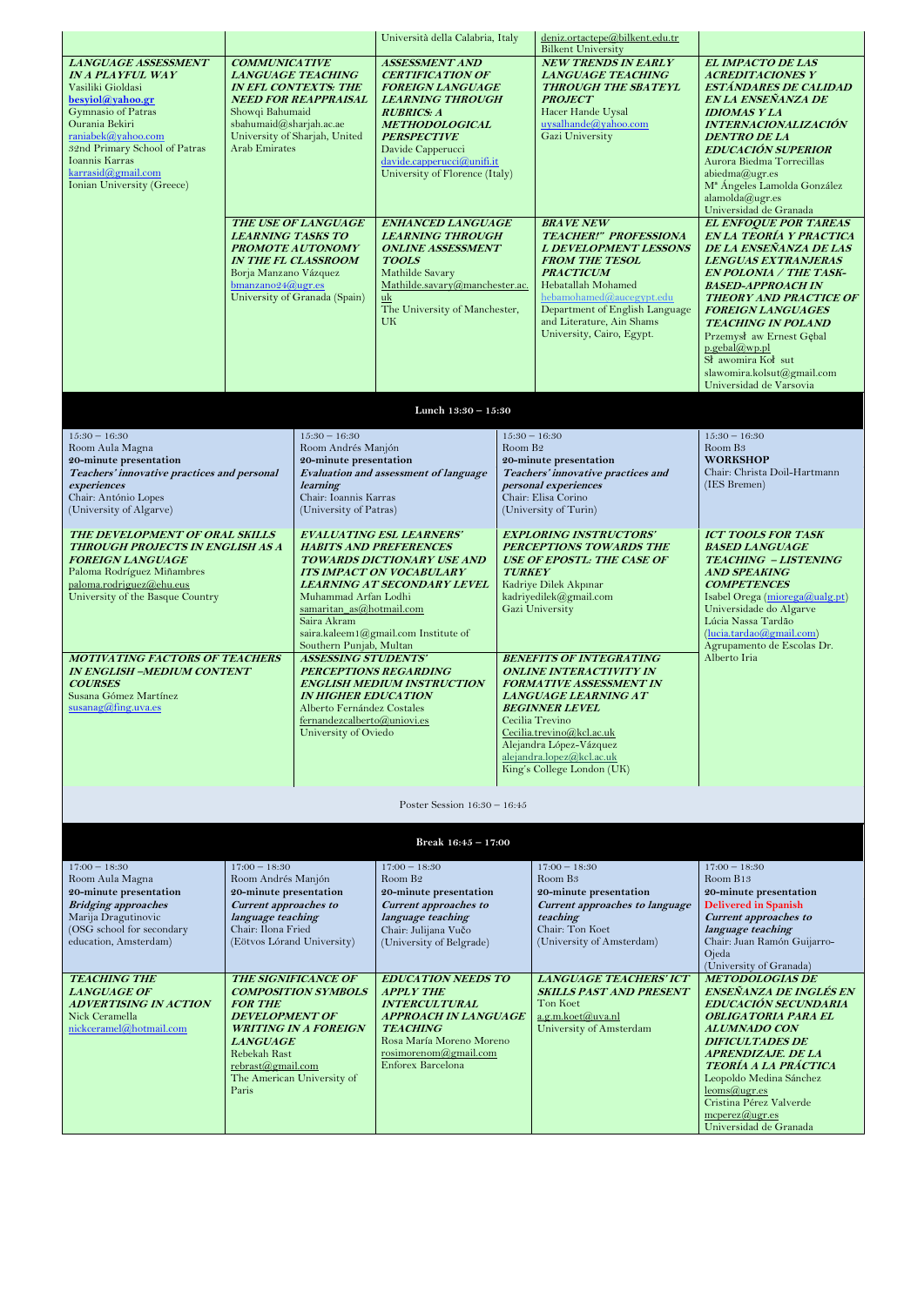|                                                                                                                                                                                                                                                                                                                                                    |                                                                                                                                                                                                                                                                             |                                                                                                                                                                                                                                                                                                                                                                                                                                                                                           | Università della Calabria, Italy                                                                                                                                                                                                                                                                                                                                                                                                                                     |                                                            | deniz.ortactepe@bilkent.edu.tr<br><b>Bilkent University</b>                                                                                                                                                                                                                                                                                                                                                                                                      |                                                                                                                                                                                                                                                                                                                                                                                                                                                                                                                                                                                                                                                                                                                                       |
|----------------------------------------------------------------------------------------------------------------------------------------------------------------------------------------------------------------------------------------------------------------------------------------------------------------------------------------------------|-----------------------------------------------------------------------------------------------------------------------------------------------------------------------------------------------------------------------------------------------------------------------------|-------------------------------------------------------------------------------------------------------------------------------------------------------------------------------------------------------------------------------------------------------------------------------------------------------------------------------------------------------------------------------------------------------------------------------------------------------------------------------------------|----------------------------------------------------------------------------------------------------------------------------------------------------------------------------------------------------------------------------------------------------------------------------------------------------------------------------------------------------------------------------------------------------------------------------------------------------------------------|------------------------------------------------------------|------------------------------------------------------------------------------------------------------------------------------------------------------------------------------------------------------------------------------------------------------------------------------------------------------------------------------------------------------------------------------------------------------------------------------------------------------------------|---------------------------------------------------------------------------------------------------------------------------------------------------------------------------------------------------------------------------------------------------------------------------------------------------------------------------------------------------------------------------------------------------------------------------------------------------------------------------------------------------------------------------------------------------------------------------------------------------------------------------------------------------------------------------------------------------------------------------------------|
| LANGUAGE ASSESSMENT<br><b>IN A PLAYFUL WAY</b><br>Vasiliki Gioldasi<br>besyiol@yahoo.gr<br>Gymnasio of Patras<br>Ourania Bekiri<br>raniabek@yahoo.com<br>32nd Primary School of Patras<br>Ioannis Karras<br>karrasid@gmail.com<br>Ionian University (Greece)                                                                                       | <b>COMMUNICATIVE</b><br>Showqi Bahumaid<br>sbahumaid@sharjah.ac.ae<br><b>Arab Emirates</b><br><b>LEARNING TASKS TO</b><br>Borja Manzano Vázquez<br>$b$ manzano24@ugr.es                                                                                                     | <b>LANGUAGE TEACHING</b><br><b>IN EFL CONTEXTS: THE</b><br><b>NEED FOR REAPPRAISAL</b><br>University of Sharjah, United<br><b>THE USE OF LANGUAGE</b><br>PROMOTE AUTONOMY<br><b>IN THE FL CLASSROOM</b><br>University of Granada (Spain)                                                                                                                                                                                                                                                  | <b>ASSESSMENT AND</b><br><b>CERTIFICATION OF</b><br><b>FOREIGN LANGUAGE</b><br><b>LEARNING THROUGH</b><br><b>RUBRICS: A</b><br><b>METHODOLOGICAL</b><br><b>PERSPECTIVE</b><br>Davide Capperucci<br>davide.capperucci@unifi.it<br>University of Florence (Italy)<br><b>ENHANCED LANGUAGE</b><br><b>LEARNING THROUGH</b><br><b>ONLINE ASSESSMENT</b><br><b>TOOLS</b><br>Mathilde Savary<br>Mathilde.savary@manchester.ac.<br>uk<br>The University of Manchester,<br>UK |                                                            | <b>NEW TRENDS IN EARLY</b><br><b>LANGUAGE TEACHING</b><br><b>THROUGH THE SBATEYL</b><br><b>PROJECT</b><br>Hacer Hande Uysal<br>uysalhande@yahoo.com<br>Gazi University<br><b>BRAVE NEW</b><br><b>TEACHER!" PROFESSIONA</b><br><b>L DEVELOPMENT LESSONS</b><br><b>FROM THE TESOL</b><br><b>PRACTICUM</b><br>Hebatallah Mohamed<br>hebamohamed@aucegypt.edu<br>Department of English Language<br>and Literature, Ain Shams<br>University, Cairo, Egypt.            | <b>EL IMPACTO DE LAS</b><br><b>ACREDITACIONES Y</b><br><b>ESTÁNDARES DE CALIDAD</b><br>EN LA ENSEÑANZA DE<br><b>IDIOMAS Y LA</b><br><b>INTERNACIONALIZACIÓN</b><br><b>DENTRO DE LA</b><br><b>EDUCACIÓN SUPERIOR</b><br>Aurora Biedma Torrecillas<br>abiedma@ugr.es<br>M <sup>ª</sup> Ángeles Lamolda González<br>alamolda@ugr.es<br>Universidad de Granada<br><b>EL ENFOQUE POR TAREAS</b><br>EN LA TEORÍA Y PRACTICA<br>DE LA ENSEÑANZA DE LAS<br><b>LENGUAS EXTRANJERAS</b><br><b>EN POLONIA / THE TASK-</b><br><b>BASED-APPROACH IN</b><br><b>THEORY AND PRACTICE OF</b><br><b>FOREIGN LANGUAGES</b><br><b>TEACHING IN POLAND</b><br>Przemysł aw Ernest Gębal<br>p.gebal@wp.pl<br>Sł awomira Koł sut<br>slawomira.kolsut@gmail.com |
|                                                                                                                                                                                                                                                                                                                                                    |                                                                                                                                                                                                                                                                             |                                                                                                                                                                                                                                                                                                                                                                                                                                                                                           |                                                                                                                                                                                                                                                                                                                                                                                                                                                                      |                                                            |                                                                                                                                                                                                                                                                                                                                                                                                                                                                  | Universidad de Varsovia                                                                                                                                                                                                                                                                                                                                                                                                                                                                                                                                                                                                                                                                                                               |
|                                                                                                                                                                                                                                                                                                                                                    |                                                                                                                                                                                                                                                                             |                                                                                                                                                                                                                                                                                                                                                                                                                                                                                           | Lunch 13:30 - 15:30                                                                                                                                                                                                                                                                                                                                                                                                                                                  |                                                            |                                                                                                                                                                                                                                                                                                                                                                                                                                                                  |                                                                                                                                                                                                                                                                                                                                                                                                                                                                                                                                                                                                                                                                                                                                       |
| $15:30 - 16:30$<br>Room Aula Magna                                                                                                                                                                                                                                                                                                                 |                                                                                                                                                                                                                                                                             | $15:30 - 16:30$<br>Room Andrés Manjón                                                                                                                                                                                                                                                                                                                                                                                                                                                     |                                                                                                                                                                                                                                                                                                                                                                                                                                                                      | $15:30 - 16:30$<br>Room B <sub>2</sub>                     |                                                                                                                                                                                                                                                                                                                                                                                                                                                                  | $15:30 - 16:30$<br>Room B <sub>3</sub>                                                                                                                                                                                                                                                                                                                                                                                                                                                                                                                                                                                                                                                                                                |
| 20-minute presentation<br>Teachers' innovative practices and personal                                                                                                                                                                                                                                                                              |                                                                                                                                                                                                                                                                             | 20-minute presentation                                                                                                                                                                                                                                                                                                                                                                                                                                                                    | <b>Evaluation and assessment of language</b>                                                                                                                                                                                                                                                                                                                                                                                                                         |                                                            | 20-minute presentation                                                                                                                                                                                                                                                                                                                                                                                                                                           | <b>WORKSHOP</b><br>Chair: Christa Doil-Hartmann                                                                                                                                                                                                                                                                                                                                                                                                                                                                                                                                                                                                                                                                                       |
| experiences                                                                                                                                                                                                                                                                                                                                        |                                                                                                                                                                                                                                                                             | <b>learning</b>                                                                                                                                                                                                                                                                                                                                                                                                                                                                           |                                                                                                                                                                                                                                                                                                                                                                                                                                                                      | Teachers' innovative practices and<br>personal experiences |                                                                                                                                                                                                                                                                                                                                                                                                                                                                  | (IES Bremen)                                                                                                                                                                                                                                                                                                                                                                                                                                                                                                                                                                                                                                                                                                                          |
| Chair: António Lopes<br>(University of Algarve)                                                                                                                                                                                                                                                                                                    |                                                                                                                                                                                                                                                                             | Chair: Ioannis Karras<br>(University of Patras)                                                                                                                                                                                                                                                                                                                                                                                                                                           |                                                                                                                                                                                                                                                                                                                                                                                                                                                                      | Chair: Elisa Corino<br>(University of Turin)               |                                                                                                                                                                                                                                                                                                                                                                                                                                                                  |                                                                                                                                                                                                                                                                                                                                                                                                                                                                                                                                                                                                                                                                                                                                       |
| <b>THE DEVELOPMENT OF ORAL SKILLS</b><br>THROUGH PROJECTS IN ENGLISH AS A<br><b>FOREIGN LANGUAGE</b><br>Paloma Rodríguez Miñambres<br>paloma.rodriguez@ehu.eus<br>University of the Basque Country<br><b>MOTIVATING FACTORS OF TEACHERS</b><br><b>IN ENGLISH -MEDIUM CONTENT</b><br><b>COURSES</b><br>Susana Gómez Martínez<br>susanag@fing.uva.es |                                                                                                                                                                                                                                                                             | <b>HABITS AND PREFERENCES</b><br>TOWARDS DICTIONARY USE AND<br><b>ITS IMPACT ON VOCABULARY</b><br>LEARNING AT SECONDARY LEVEL<br>Muhammad Arfan Lodhi<br>samaritan_as@hotmail.com<br>Saira Akram<br>saira.kaleem1@gmail.com Institute of<br>Southern Punjab, Multan<br><b>ASSESSING STUDENTS'</b><br><b>PERCEPTIONS REGARDING</b><br><b>ENGLISH MEDIUM INSTRUCTION</b><br><b>IN HIGHER EDUCATION</b><br>Alberto Fernández Costales<br>fernandezcalberto@uniovi.es<br>University of Oviedo |                                                                                                                                                                                                                                                                                                                                                                                                                                                                      | <b>TURKEY</b>                                              | <b>EXPLORING INSTRUCTORS'</b><br>PERCEPTIONS TOWARDS THE<br><b>USE OF EPOSTL: THE CASE OF</b><br>Kadriye Dilek Akpınar<br>kadriyedilek@gmail.com<br>Gazi University<br><b>BENEFITS OF INTEGRATING</b><br><b>ONLINE INTERACTIVITY IN</b><br><b>FORMATIVE ASSESSMENT IN</b><br>LANGUAGE LEARNING AT<br><b>BEGINNER LEVEL</b><br>Cecilia Trevino<br>Cecilia.trevino@kcl.ac.uk<br>Alejandra López-Vázquez<br>alejandra.lopez@kcl.ac.uk<br>King's College London (UK) | <b>ICT TOOLS FOR TASK</b><br><b>BASED LANGUAGE</b><br><b>TEACHING - LISTENING</b><br><b>AND SPEAKING</b><br><b>COMPETENCES</b><br>Isabel Orega (miorega@ualg.pt)<br>Universidade do Algarve<br>Lúcia Nassa Tardão<br>(lucia.tardao@gmail.com)<br>Agrupamento de Escolas Dr.<br>Alberto Iria                                                                                                                                                                                                                                                                                                                                                                                                                                           |
|                                                                                                                                                                                                                                                                                                                                                    |                                                                                                                                                                                                                                                                             |                                                                                                                                                                                                                                                                                                                                                                                                                                                                                           | Poster Session $16:30 - 16:45$                                                                                                                                                                                                                                                                                                                                                                                                                                       |                                                            |                                                                                                                                                                                                                                                                                                                                                                                                                                                                  |                                                                                                                                                                                                                                                                                                                                                                                                                                                                                                                                                                                                                                                                                                                                       |
|                                                                                                                                                                                                                                                                                                                                                    |                                                                                                                                                                                                                                                                             |                                                                                                                                                                                                                                                                                                                                                                                                                                                                                           | Break $16:45 - 17:00$                                                                                                                                                                                                                                                                                                                                                                                                                                                |                                                            |                                                                                                                                                                                                                                                                                                                                                                                                                                                                  |                                                                                                                                                                                                                                                                                                                                                                                                                                                                                                                                                                                                                                                                                                                                       |
| $17:00 - 18:30$<br>Room Aula Magna<br>20-minute presentation<br><b>Bridging approaches</b><br>Marija Dragutinovic<br>(OSG school for secondary<br>education, Amsterdam)<br><b>TEACHING THE</b><br><b>LANGUAGE OF</b><br><b>ADVERTISING IN ACTION</b><br>Nick Ceramella<br>nickceramel@hotmail.com                                                  | $17:00 - 18:30$<br>Room Andrés Manjón<br>20-minute presentation<br><b>Current approaches to</b><br>language teaching<br>Chair: Ilona Fried<br>(Eötvos Lórand University)<br><b>FOR THE</b><br><b>DEVELOPMENT OF</b><br><i>LANGUAGE</i><br>Rebekah Rast<br>rebrast@gmail.com | <b>THE SIGNIFICANCE OF</b><br><b>COMPOSITION SYMBOLS</b><br><b>WRITING IN A FOREIGN</b><br>The American University of                                                                                                                                                                                                                                                                                                                                                                     | $17:00 - 18:30$<br>Room B <sub>2</sub><br>20-minute presentation<br><b>Current approaches to</b><br>language teaching<br>Chair: Julijana Vučo<br>(University of Belgrade)<br><b>EDUCATION NEEDS TO</b><br><b>APPLY THE</b><br><b>INTERCULTURAL</b><br><i><b>APPROACH IN LANGUAGE</b></i><br><b>TEACHING</b><br>Rosa María Moreno Moreno<br>rosimorenom@gmail.com<br>Enforex Barcelona                                                                                |                                                            | $17:00 - 18:30$<br>Room B <sub>3</sub><br>20-minute presentation<br><b>Current approaches to language</b><br>teaching<br>Chair: Ton Koet<br>(University of Amsterdam)<br><b>LANGUAGE TEACHERS' ICT</b><br><b>SKILLS PAST AND PRESENT</b><br>Ton Koet<br>$a.g.m.koet(a)$ uva.nl<br>University of Amsterdam                                                                                                                                                        | $17:00 - 18:30$<br>Room B13<br>20-minute presentation<br><b>Delivered in Spanish</b><br><b>Current approaches to</b><br>language teaching<br>Chair: Juan Ramón Guijarro-<br>Ojeda<br>(University of Granada)<br><b>METODOLOGÍAS DE</b><br>ENSEÑANZA DE INGLÉS EN<br>EDUCACIÓN SECUNDARIA<br><b>OBLIGATORIA PARA EL</b><br><b>ALUMNADO CON</b><br><b>DIFICULTADES DE</b><br><b>APRENDIZAJE. DE LA</b><br>TEORÍA A LA PRÁCTICA<br>Leopoldo Medina Sánchez                                                                                                                                                                                                                                                                               |
|                                                                                                                                                                                                                                                                                                                                                    | Paris                                                                                                                                                                                                                                                                       |                                                                                                                                                                                                                                                                                                                                                                                                                                                                                           |                                                                                                                                                                                                                                                                                                                                                                                                                                                                      |                                                            |                                                                                                                                                                                                                                                                                                                                                                                                                                                                  | $leoms@ugr.es$<br>Cristina Pérez Valverde<br>$m\text{cperez}(\hat{a})$ ugr.es<br>Universidad de Granada                                                                                                                                                                                                                                                                                                                                                                                                                                                                                                                                                                                                                               |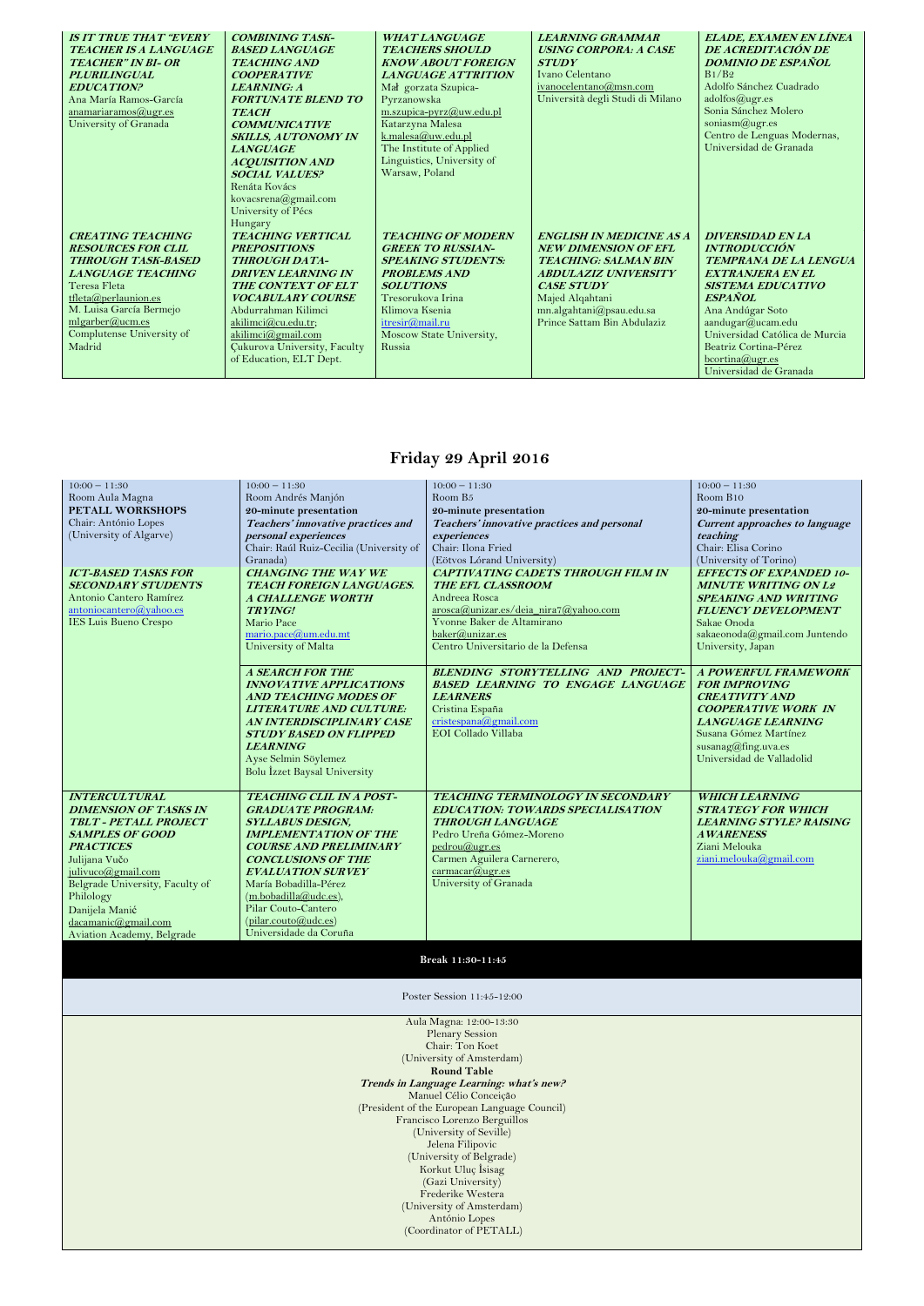| <b>IS IT TRUE THAT "EVERY"</b><br>TEACHER IS A LANGUAGE<br><b>TEACHER" IN BI- OR</b>                                                                                                                                                 | <b>COMBINING TASK-</b><br><b>BASED LANGUAGE</b><br><b>TEACHING AND</b>                                                                                                                                                                                                                       | <b>WHAT LANGUAGE</b><br><b>TEACHERS SHOULD</b><br><b>KNOW ABOUT FOREIGN</b>                                                                                                                                                   | <b>LEARNING GRAMMAR</b><br><b>USING CORPORA: A CASE</b><br><b>STUDY</b>                                                                                                                                                         | <b>ELADE, EXAMEN EN LÍNEA</b><br>DE ACREDITACIÓN DE<br><b>DOMINIO DE ESPAÑOL</b>                                                                                                                                                                                                                            |
|--------------------------------------------------------------------------------------------------------------------------------------------------------------------------------------------------------------------------------------|----------------------------------------------------------------------------------------------------------------------------------------------------------------------------------------------------------------------------------------------------------------------------------------------|-------------------------------------------------------------------------------------------------------------------------------------------------------------------------------------------------------------------------------|---------------------------------------------------------------------------------------------------------------------------------------------------------------------------------------------------------------------------------|-------------------------------------------------------------------------------------------------------------------------------------------------------------------------------------------------------------------------------------------------------------------------------------------------------------|
| <b>PLURILINGUAL</b><br><b>EDUCATION?</b><br>Ana María Ramos-García<br>anamariaramos $(\omega)$ ugr.es<br>University of Granada                                                                                                       | <b>COOPERATIVE</b><br><b>LEARNING: A</b><br><b>FORTUNATE BLEND TO</b><br><b>TEACH</b><br><b>COMMUNICATIVE</b><br><b>SKILLS, AUTONOMY IN</b><br><b>LANGUAGE</b><br><b>ACQUISITION AND</b><br><b>SOCIAL VALUES?</b><br>Renáta Kovács<br>kovacsrena@gmail.com<br>University of Pécs<br>Hungary  | <b>LANGUAGE ATTRITION</b><br>Mał gorzata Szupica-<br>Pyrzanowska<br>m.szupica-pyrz@uw.edu.pl<br>Katarzyna Malesa<br>k.malesa@uw.edu.pl<br>The Institute of Applied<br>Linguistics, University of<br>Warsaw, Poland            | Ivano Celentano<br>ivanocelentano@msn.com<br>Università degli Studi di Milano                                                                                                                                                   | B1/B2<br>Adolfo Sánchez Cuadrado<br>adolfos@ugr.es<br>Sonia Sánchez Molero<br>soniasm@ugr.es<br>Centro de Lenguas Modernas,<br>Universidad de Granada                                                                                                                                                       |
| <b>CREATING TEACHING</b><br><b>RESOURCES FOR CLIL</b><br>THROUGH TASK-BASED<br><b>LANGUAGE TEACHING</b><br>Teresa Fleta<br>tfleta@perlaunion.es<br>M. Luisa García Bermejo<br>mlgarber@uum.es<br>Complutense University of<br>Madrid | <b>TEACHING VERTICAL</b><br><b>PREPOSITIONS</b><br><b>THROUGH DATA-</b><br><b>DRIVEN LEARNING IN</b><br>THE CONTEXT OF ELT<br><b>VOCABULARY COURSE</b><br>Abdurrahman Kilimci<br>akilimci@cu.edu.tr;<br>akilimci@gmail.com<br><b>Cukurova University, Faculty</b><br>of Education, ELT Dept. | <b>TEACHING OF MODERN</b><br><b>GREEK TO RUSSIAN-</b><br><b>SPEAKING STUDENTS:</b><br><b>PROBLEMS AND</b><br><b>SOLUTIONS</b><br>Tresorukova Irina<br>Klimova Ksenia<br>itresir@mail.ru<br>Moscow State University,<br>Russia | <b>ENGLISH IN MEDICINE AS A</b><br><b>NEW DIMENSION OF EFL</b><br><b>TEACHING: SALMAN BIN</b><br><b>ABDULAZIZ UNIVERSITY</b><br><b>CASE STUDY</b><br>Majed Alqahtani<br>mn.algahtani@psau.edu.sa<br>Prince Sattam Bin Abdulaziz | <b>DIVERSIDAD EN LA</b><br><b>INTRODUCCIÓN</b><br><b>TEMPRANA DE LA LENGUA</b><br><b>EXTRANJERA EN EL</b><br><b>SISTEMA EDUCATIVO</b><br><b>ESPAÑOL</b><br>Ana Andúgar Soto<br>aandugar@ucam.edu<br>Universidad Católica de Murcia<br>Beatriz Cortina-Pérez<br>$b$ cortina@ugr.es<br>Universidad de Granada |

#### **Friday 29 April 2016**

| $10:00 - 11:30$                 | $10:00 - 11:30$                         | $10:00 - 11:30$                             | $10:00 - 11:30$                |
|---------------------------------|-----------------------------------------|---------------------------------------------|--------------------------------|
| Room Aula Magna                 | Room Andrés Manjón                      | Room B <sub>5</sub>                         | Room B10                       |
| PETALL WORKSHOPS                | 20-minute presentation                  | 20-minute presentation                      | 20-minute presentation         |
| Chair: António Lopes            | Teachers' innovative practices and      | Teachers' innovative practices and personal | Current approaches to language |
| (University of Algarve)         | personal experiences                    | experiences                                 | teaching                       |
|                                 | Chair: Raúl Ruiz-Cecilia (University of | Chair: Ilona Fried                          | Chair: Elisa Corino            |
|                                 | Granada)                                | (Eötvos Lórand University)                  | (University of Torino)         |
| <b>ICT-BASED TASKS FOR</b>      | <b>CHANGING THE WAY WE</b>              | <b>CAPTIVATING CADETS THROUGH FILM IN</b>   | <b>EFFECTS OF EXPANDED 10-</b> |
| <b>SECONDARY STUDENTS</b>       | TEACH FOREIGN LANGUAGES.                | THE EFL CLASSROOM                           | <b>MINUTE WRITING ON L2</b>    |
| Antonio Cantero Ramírez         | A CHALLENGE WORTH                       | Andreea Rosca                               | <b>SPEAKING AND WRITING</b>    |
| antoniocantero@yahoo.es         | <b>TRYING!</b>                          | arosca@unizar.es/deia_nira7@yahoo.com       | <b>FLUENCY DEVELOPMENT</b>     |
| <b>IES Luis Bueno Crespo</b>    | Mario Pace                              | Yvonne Baker de Altamirano                  | Sakae Onoda                    |
|                                 | mario.pace@um.edu.mt                    | baker@unizar.es                             | sakaeonoda@gmail.com Juntendo  |
|                                 | University of Malta                     | Centro Universitario de la Defensa          | University, Japan              |
|                                 |                                         |                                             |                                |
|                                 | <b>A SEARCH FOR THE</b>                 | BLENDING STORYTELLING AND PROJECT-          | A POWERFUL FRAMEWORK           |
|                                 | <b>INNOVATIVE APPLICATIONS</b>          | <b>BASED LEARNING TO ENGAGE LANGUAGE</b>    | <b>FOR IMPROVING</b>           |
|                                 | <b>AND TEACHING MODES OF</b>            | <b>LEARNERS</b>                             | <b>CREATIVITY AND</b>          |
|                                 | LITERATURE AND CULTURE:                 | Cristina España                             | <b>COOPERATIVE WORK IN</b>     |
|                                 | AN INTERDISCIPLINARY CASE               | cristespana@gmail.com                       | <b>LANGUAGE LEARNING</b>       |
|                                 | <b>STUDY BASED ON FLIPPED</b>           | EOI Collado Villaba                         | Susana Gómez Martínez          |
|                                 | <b>LEARNING</b>                         |                                             | susanag@fing.uva.es            |
|                                 | Ayse Selmin Söylemez                    |                                             | Universidad de Valladolid      |
|                                 | Bolu İzzet Baysal University            |                                             |                                |
|                                 |                                         |                                             |                                |
| <b>INTERCULTURAL</b>            | TEACHING CLIL IN A POST-                | <b>TEACHING TERMINOLOGY IN SECONDARY</b>    | <b>WHICH LEARNING</b>          |
| <b>DIMENSION OF TASKS IN</b>    | <b>GRADUATE PROGRAM:</b>                | <b>EDUCATION: TOWARDS SPECIALISATION</b>    | <b>STRATEGY FOR WHICH</b>      |
| TBLT - PETALL PROJECT           | <b>SYLLABUS DESIGN,</b>                 | <b>THROUGH LANGUAGE</b>                     | <b>LEARNING STYLE? RAISING</b> |
| <b>SAMPLES OF GOOD</b>          | <b>IMPLEMENTATION OF THE</b>            | Pedro Ureña Gómez-Moreno                    | <b>AWARENESS</b>               |
| <b>PRACTICES</b>                | <b>COURSE AND PRELIMINARY</b>           | pedrou@ugr.es                               | Ziani Melouka                  |
| Julijana Vučo                   | <b>CONCLUSIONS OF THE</b>               | Carmen Aguilera Carnerero,                  | ziani.melouka@gmail.com        |
| julivuco@gmail.com              | <b>EVALUATION SURVEY</b>                | carrmacar@ugr. es                           |                                |
| Belgrade University, Faculty of | María Bobadilla-Pérez                   | University of Granada                       |                                |
| Philology                       | (m.bobadilla@udc.es),                   |                                             |                                |
| Danijela Manić                  | Pilar Couto-Cantero                     |                                             |                                |
| dacamanic@gmail.com             | (pilar.couto@udc.es)                    |                                             |                                |
| Aviation Academy, Belgrade      | Universidade da Coruña                  |                                             |                                |

**Break 11:30-11:45**

Poster Session 11:45-12:00

Aula Magna: 12:00-13:30 Plenary Session Chair: Ton Koet (University of Amsterdam) **Round Table Trends in Language Learning: what's new?** Manuel Célio Conceição (President of the European Language Council) Francisco Lorenzo Berguillos (University of Seville) Jelena Filipovic (University of Belgrade) Korkut Uluç İsisag (Gazi University) Frederike Westera (University of Amsterdam) António Lopes (Coordinator of PETALL)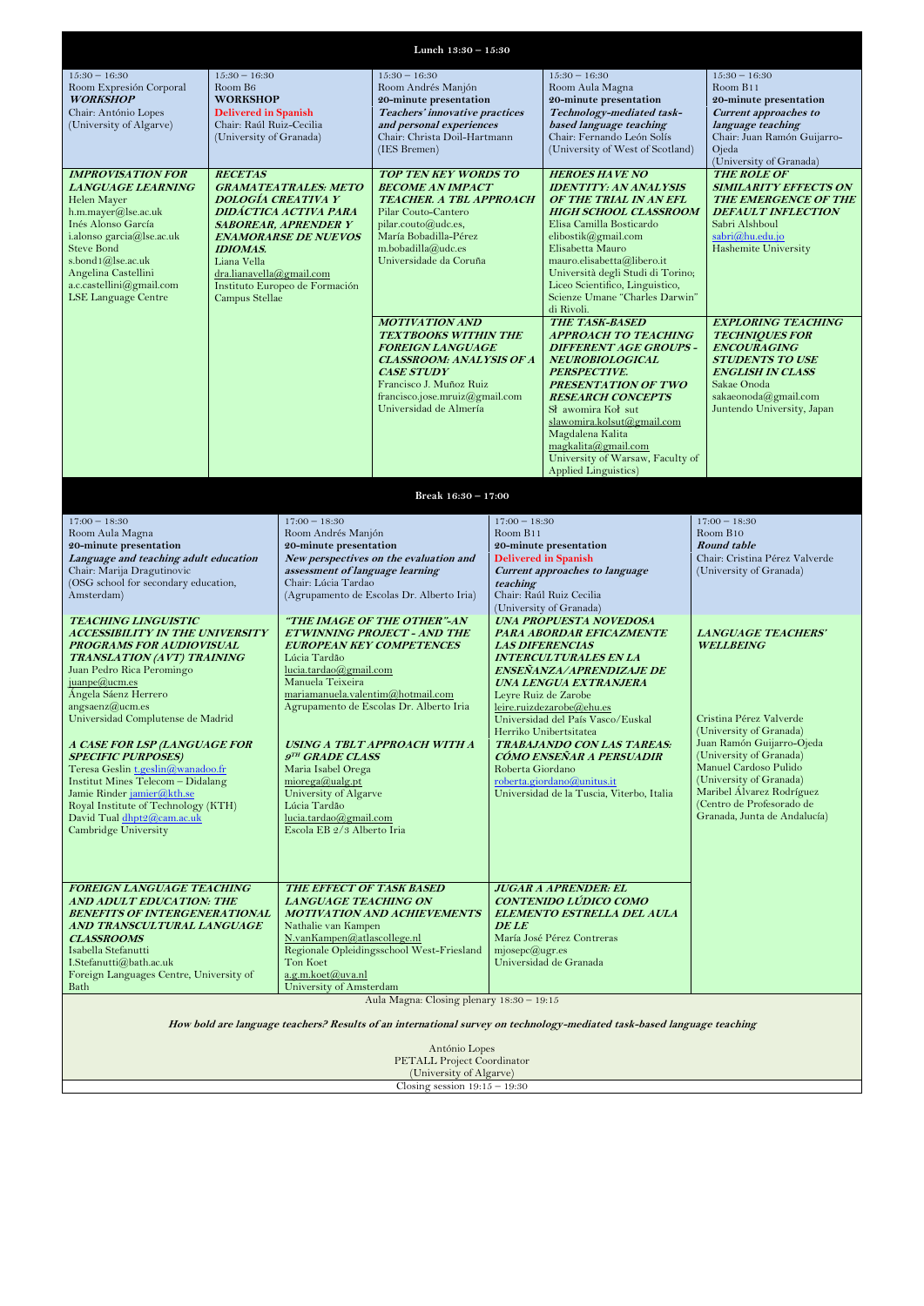| Lunch 13:30 - 15:30                                                                             |                                |                                                                           |                                                                   |                                                                |                                                               |                                                           |
|-------------------------------------------------------------------------------------------------|--------------------------------|---------------------------------------------------------------------------|-------------------------------------------------------------------|----------------------------------------------------------------|---------------------------------------------------------------|-----------------------------------------------------------|
| $15:30 - 16:30$                                                                                 | $15:30 - 16:30$                |                                                                           | $15:30 - 16:30$                                                   |                                                                | $15:30 - 16:30$                                               | $15:30 - 16:30$                                           |
| Room Expresión Corporal<br><b>WORKSHOP</b>                                                      | Room B6<br><b>WORKSHOP</b>     |                                                                           | Room Andrés Manjón<br>20-minute presentation                      |                                                                | Room Aula Magna<br>20-minute presentation                     | Room B11                                                  |
| Chair: António Lopes                                                                            | <b>Delivered in Spanish</b>    |                                                                           | Teachers' innovative practices                                    |                                                                | Technology-mediated task-                                     | 20-minute presentation<br><b>Current approaches to</b>    |
| (University of Algarve)                                                                         | Chair: Raúl Ruiz-Cecilia       |                                                                           | and personal experiences                                          |                                                                | based language teaching                                       | language teaching                                         |
|                                                                                                 | (University of Granada)        |                                                                           | Chair: Christa Doil-Hartmann                                      |                                                                | Chair: Fernando León Solís                                    | Chair: Juan Ramón Guijarro-                               |
|                                                                                                 |                                |                                                                           | (IES Bremen)                                                      |                                                                | (University of West of Scotland)                              | Ojeda<br>(University of Granada)                          |
| <b>IMPROVISATION FOR</b>                                                                        | <b>RECETAS</b>                 |                                                                           | <b>TOP TEN KEY WORDS TO</b>                                       |                                                                | <b>HEROES HAVE NO</b>                                         | <b>THE ROLE OF</b>                                        |
| <b>LANGUAGE LEARNING</b>                                                                        |                                | <b>GRAMATEATRALES: METO</b>                                               | <b>BECOME AN IMPACT</b>                                           |                                                                | <b>IDENTITY: AN ANALYSIS</b>                                  | <b>SIMILARITY EFFECTS ON</b>                              |
| Helen Mayer<br>h.m.mayer@lse.ac.uk                                                              | DOLOGÍA CREATIVA Y             | <b>DIDÁCTICA ACTIVA PARA</b>                                              | <b>TEACHER. A TBL APPROACH</b><br>Pilar Couto-Cantero             |                                                                | OF THE TRIAL IN AN EFL<br><b>HIGH SCHOOL CLASSROOM</b>        | <b>THE EMERGENCE OF THE</b><br><b>DEFAULT INFLECTION</b>  |
| Inés Alonso García                                                                              |                                | <b>SABOREAR, APRENDER Y</b>                                               | pilar.couto@udc.es,                                               |                                                                | Elisa Camilla Bosticardo                                      | Sabri Alshboul                                            |
| i.alonso garcia@lse.ac.uk                                                                       |                                | <b>ENAMORARSE DE NUEVOS</b>                                               | María Bobadilla-Pérez                                             |                                                                | elibostik@gmail.com                                           | sabri@hu.edu.jo                                           |
| <b>Steve Bond</b><br>s.bond1@lse.ac.uk                                                          | <b>IDIOMAS.</b><br>Liana Vella |                                                                           | m.bobadilla@udc.es<br>Universidade da Coruña                      |                                                                | Elisabetta Mauro<br>mauro.elisabetta@libero.it                | Hashemite University                                      |
| Angelina Castellini                                                                             | dra.lianavella@gmail.com       |                                                                           |                                                                   |                                                                | Università degli Studi di Torino;                             |                                                           |
| a.c.castellini@gmail.com                                                                        |                                | Instituto Europeo de Formación                                            |                                                                   |                                                                | Liceo Scientifico, Linguistico,                               |                                                           |
| <b>LSE Language Centre</b>                                                                      | Campus Stellae                 |                                                                           |                                                                   |                                                                | Scienze Umane "Charles Darwin"<br>di Rivoli.                  |                                                           |
|                                                                                                 |                                |                                                                           | <b>MOTIVATION AND</b>                                             |                                                                | <b>THE TASK-BASED</b>                                         | <b>EXPLORING TEACHING</b>                                 |
|                                                                                                 |                                |                                                                           | <b>TEXTBOOKS WITHIN THE</b>                                       |                                                                | <b>APPROACH TO TEACHING</b>                                   | <b>TECHNIQUES FOR</b>                                     |
|                                                                                                 |                                |                                                                           | <b>FOREIGN LANGUAGE</b><br><b>CLASSROOM: ANALYSIS OF A</b>        |                                                                | <b>DIFFERENT AGE GROUPS -</b><br><b>NEUROBIOLOGICAL</b>       | <b>ENCOURAGING</b><br><b>STUDENTS TO USE</b>              |
|                                                                                                 |                                |                                                                           | <b>CASE STUDY</b>                                                 |                                                                | PERSPECTIVE.                                                  | <b>ENGLISH IN CLASS</b>                                   |
|                                                                                                 |                                |                                                                           | Francisco J. Muñoz Ruiz                                           |                                                                | PRESENTATION OF TWO                                           | Sakae Onoda                                               |
|                                                                                                 |                                |                                                                           | francisco.jose.mruiz@gmail.com<br>Universidad de Almería          |                                                                | <b>RESEARCH CONCEPTS</b><br>Sł awomira Koł sut                | sakaeonoda@gmail.com<br>Juntendo University, Japan        |
|                                                                                                 |                                |                                                                           |                                                                   |                                                                | slawomira.kolsut@gmail.com                                    |                                                           |
|                                                                                                 |                                |                                                                           |                                                                   |                                                                | Magdalena Kalita                                              |                                                           |
|                                                                                                 |                                |                                                                           |                                                                   |                                                                | magkalita@gmail.com<br>University of Warsaw, Faculty of       |                                                           |
|                                                                                                 |                                |                                                                           |                                                                   |                                                                | Applied Linguistics)                                          |                                                           |
|                                                                                                 |                                |                                                                           | Break 16:30 - 17:00                                               |                                                                |                                                               |                                                           |
| $17:00 - 18:30$                                                                                 |                                | $17:00 - 18:30$                                                           |                                                                   | $17:00 - 18:30$                                                |                                                               | $17:00 - 18:30$                                           |
| Room Aula Magna                                                                                 |                                | Room Andrés Manjón                                                        |                                                                   | Room B11                                                       |                                                               | Room B10                                                  |
| 20-minute presentation                                                                          |                                |                                                                           | 20-minute presentation                                            |                                                                | 20-minute presentation                                        | <b>Round</b> table                                        |
| Language and teaching adult education<br>Chair: Marija Dragutinovic                             |                                | New perspectives on the evaluation and<br>assessment of language learning |                                                                   |                                                                | <b>Delivered in Spanish</b><br>Current approaches to language | Chair: Cristina Pérez Valverde<br>(University of Granada) |
| (OSG school for secondary education,                                                            |                                | Chair: Lúcia Tardao                                                       |                                                                   | teaching                                                       |                                                               |                                                           |
| Amsterdam)                                                                                      |                                | (Agrupamento de Escolas Dr. Alberto Iria)                                 |                                                                   |                                                                | Chair: Raúl Ruiz Cecilia                                      |                                                           |
| <b>TEACHING LINGUISTIC</b>                                                                      |                                |                                                                           | (University of Granada)<br><b>UNA PROPUESTA NOVEDOSA</b>          |                                                                |                                                               |                                                           |
| <b>ACCESSIBILITY IN THE UNIVERSITY</b>                                                          |                                |                                                                           | "THE IMAGE OF THE OTHER"-AN<br><b>ETWINNING PROJECT - AND THE</b> |                                                                | PARA ABORDAR EFICAZMENTE                                      | <b>LANGUAGE TEACHERS'</b>                                 |
| PROGRAMS FOR AUDIOVISUAL                                                                        |                                | <b>EUROPEAN KEY COMPETENCES</b>                                           |                                                                   | <b>LAS DIFERENCIAS</b>                                         |                                                               | <b>WELLBEING</b>                                          |
| TRANSLATION (AVT) TRAINING<br>Juan Pedro Rica Peromingo                                         |                                |                                                                           | Lúcia Tardão                                                      |                                                                | <b>INTERCULTURALES EN LA</b><br>ENSEÑANZA/APRENDIZAJE DE      |                                                           |
| juanpe@ucm.es                                                                                   |                                | lucia.tardao@gmail.com<br>Manuela Teixeira                                |                                                                   | UNA LENGUA EXTRANJERA                                          |                                                               |                                                           |
| Ángela Sáenz Herrero                                                                            |                                | mariamanuela.valentim@hotmail.com                                         |                                                                   | Leyre Ruiz de Zarobe                                           |                                                               |                                                           |
| angsaenz@ucm.es<br>Universidad Complutense de Madrid                                            |                                | Agrupamento de Escolas Dr. Alberto Iria                                   |                                                                   | leire.ruizdezarobe@ehu.es<br>Universidad del País Vasco/Euskal |                                                               | Cristina Pérez Valverde                                   |
|                                                                                                 |                                |                                                                           |                                                                   | Herriko Unibertsitatea                                         |                                                               | (University of Granada)                                   |
| A CASE FOR LSP (LANGUAGE FOR                                                                    |                                |                                                                           | USING A TBLT APPROACH WITH A                                      |                                                                | TRABAJANDO CON LAS TAREAS:                                    | Juan Ramón Guijarro-Ojeda                                 |
| <b>SPECIFIC PURPOSES)</b>                                                                       |                                | <b>9TH GRADE CLASS</b><br>Maria Isabel Orega                              |                                                                   | <b>CÓMO ENSEÑAR A PERSUADIR</b><br>Roberta Giordano            |                                                               | (University of Granada)<br>Manuel Cardoso Pulido          |
| Teresa Geslin t.geslin@wanadoo.fr<br>Institut Mines Telecom - Didalang                          |                                | $microe$ ga@ualg.pt                                                       |                                                                   | roberta.giordano@unitus.it                                     |                                                               | (University of Granada)                                   |
| Jamie Rinder jamier@kth.se                                                                      |                                | University of Algarve                                                     |                                                                   |                                                                | Universidad de la Tuscia, Viterbo, Italia                     | Maribel Álvarez Rodríguez                                 |
| Royal Institute of Technology (KTH)<br>David Tual dhpt2@cam.ac.uk                               |                                | Lúcia Tardão                                                              |                                                                   |                                                                |                                                               | (Centro de Profesorado de<br>Granada, Junta de Andalucía) |
| Cambridge University                                                                            |                                | lucia.tardao@gmail.com<br>Escola EB 2/3 Alberto Iria                      |                                                                   |                                                                |                                                               |                                                           |
|                                                                                                 |                                |                                                                           |                                                                   |                                                                |                                                               |                                                           |
|                                                                                                 |                                |                                                                           |                                                                   |                                                                |                                                               |                                                           |
|                                                                                                 |                                |                                                                           |                                                                   |                                                                |                                                               |                                                           |
| <b>FOREIGN LANGUAGE TEACHING</b><br><b>THE EFFECT OF TASK BASED</b><br>AND ADULT EDUCATION: THE |                                | <b>LANGUAGE TEACHING ON</b>                                               |                                                                   |                                                                | <b>JUGAR A APRENDER: EL</b><br>CONTENIDO LÚDICO COMO          |                                                           |
| <b>BENEFITS OF INTERGENERATIONAL</b>                                                            |                                |                                                                           | <b>MOTIVATION AND ACHIEVEMENTS</b>                                |                                                                | ELEMENTO ESTRELLA DEL AULA                                    |                                                           |
| AND TRANSCULTURAL LANGUAGE                                                                      |                                | Nathalie van Kampen                                                       |                                                                   | <b>DE LE</b>                                                   |                                                               |                                                           |
| <b>CLASSROOMS</b><br>Isabella Stefanutti                                                        |                                | N.vanKampen@atlascollege.nl<br>Regionale Opleidingsschool West-Friesland  |                                                                   | mjosepc@ugr.es                                                 | María José Pérez Contreras                                    |                                                           |
| I.Stefanutti@bath.ac.uk                                                                         |                                | Ton Koet                                                                  |                                                                   |                                                                | Universidad de Granada                                        |                                                           |
| Foreign Languages Centre, University of                                                         |                                | a.g.m.koet@uva.nl                                                         |                                                                   |                                                                |                                                               |                                                           |

| r or eight <b>Banganger</b> centre, charter of or<br>Bath                                                              | University of Amsterdam |  |  |  |  |
|------------------------------------------------------------------------------------------------------------------------|-------------------------|--|--|--|--|
| Aula Magna: Closing plenary $18:30 - 19:15$                                                                            |                         |  |  |  |  |
| How bold are language teachers? Results of an international survey on technology-mediated task-based language teaching |                         |  |  |  |  |
| António Lopes                                                                                                          |                         |  |  |  |  |
| <b>PETALL Project Coordinator</b>                                                                                      |                         |  |  |  |  |
| (University of Algarve)                                                                                                |                         |  |  |  |  |
| Closing session $19:15 - 19:30$                                                                                        |                         |  |  |  |  |